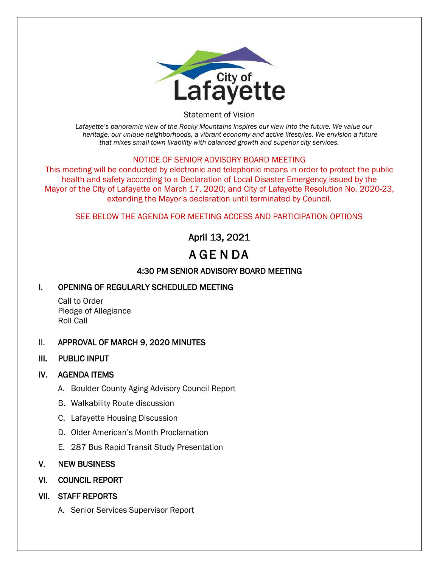

Statement of Vision

*Lafayette's panoramic view of the Rocky Mountains inspires our view into the future. We value our heritage, our unique neighborhoods, a vibrant economy and active lifestyles. We envision a future that mixes small-town livability with balanced growth and superior city services.*

#### NOTICE OF SENIOR ADVISORY BOARD MEETING

This meeting will be conducted by electronic and telephonic means in order to protect the public health and safety according to a Declaration of Local Disaster Emergency issued by the Mayor of the City of Lafayette on March 17, 2020; and City of Lafayette Resolution No. 2020-23, extending the Mayor's declaration until terminated by Council.

#### SEE BELOW THE AGENDA FOR MEETING ACCESS AND PARTICIPATION OPTIONS

# April 13, 2021 A GE N DA

## 4:30 PM SENIOR ADVISORY BOARD MEETING

### I. OPENING OF REGULARLY SCHEDULED MEETING

Call to Order Pledge of Allegiance Roll Call

#### II. APPROVAL OF MARCH 9, 2020 MINUTES

III. PUBLIC INPUT

#### IV. AGENDA ITEMS

- A. Boulder County Aging Advisory Council Report
- B. Walkability Route discussion
- C. Lafayette Housing Discussion
- D. Older American's Month Proclamation
- E. 287 Bus Rapid Transit Study Presentation

#### V. NEW BUSINESS

- VI. COUNCIL REPORT
- VII. STAFF REPORTS
	- A. Senior Services Supervisor Report